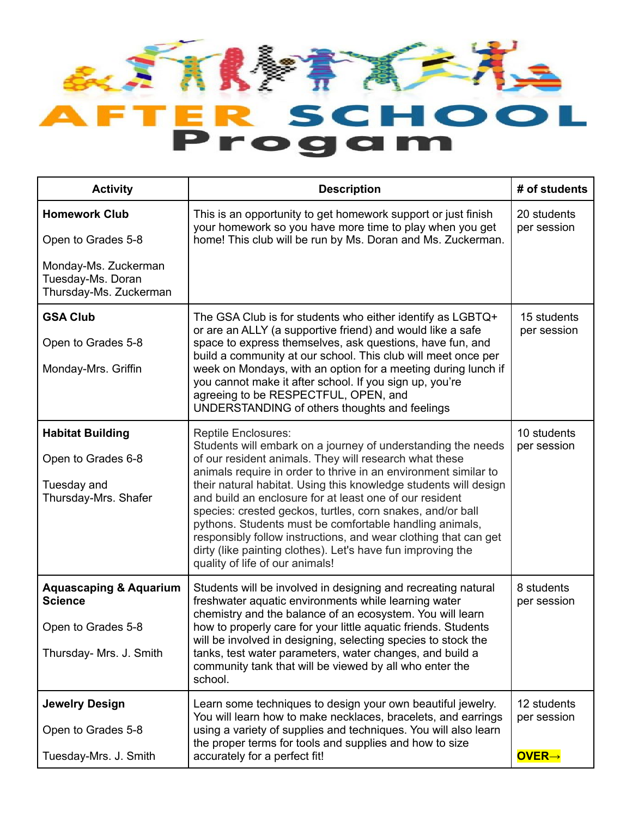

| <b>Activity</b>                                                     | <b>Description</b>                                                                                                                                                                                                                                                                                                                                                                                                                                                                                                                                                                                                     | # of students              |
|---------------------------------------------------------------------|------------------------------------------------------------------------------------------------------------------------------------------------------------------------------------------------------------------------------------------------------------------------------------------------------------------------------------------------------------------------------------------------------------------------------------------------------------------------------------------------------------------------------------------------------------------------------------------------------------------------|----------------------------|
| <b>Homework Club</b>                                                | This is an opportunity to get homework support or just finish<br>your homework so you have more time to play when you get                                                                                                                                                                                                                                                                                                                                                                                                                                                                                              | 20 students<br>per session |
| Open to Grades 5-8                                                  | home! This club will be run by Ms. Doran and Ms. Zuckerman.                                                                                                                                                                                                                                                                                                                                                                                                                                                                                                                                                            |                            |
| Monday-Ms. Zuckerman<br>Tuesday-Ms. Doran<br>Thursday-Ms. Zuckerman |                                                                                                                                                                                                                                                                                                                                                                                                                                                                                                                                                                                                                        |                            |
| <b>GSA Club</b>                                                     | The GSA Club is for students who either identify as LGBTQ+                                                                                                                                                                                                                                                                                                                                                                                                                                                                                                                                                             | 15 students                |
| Open to Grades 5-8                                                  | or are an ALLY (a supportive friend) and would like a safe<br>space to express themselves, ask questions, have fun, and                                                                                                                                                                                                                                                                                                                                                                                                                                                                                                | per session                |
| Monday-Mrs. Griffin                                                 | build a community at our school. This club will meet once per<br>week on Mondays, with an option for a meeting during lunch if<br>you cannot make it after school. If you sign up, you're<br>agreeing to be RESPECTFUL, OPEN, and<br>UNDERSTANDING of others thoughts and feelings                                                                                                                                                                                                                                                                                                                                     |                            |
| <b>Habitat Building</b>                                             | <b>Reptile Enclosures:</b>                                                                                                                                                                                                                                                                                                                                                                                                                                                                                                                                                                                             | 10 students                |
| Open to Grades 6-8<br>Tuesday and<br>Thursday-Mrs. Shafer           | Students will embark on a journey of understanding the needs<br>of our resident animals. They will research what these<br>animals require in order to thrive in an environment similar to<br>their natural habitat. Using this knowledge students will design<br>and build an enclosure for at least one of our resident<br>species: crested geckos, turtles, corn snakes, and/or ball<br>pythons. Students must be comfortable handling animals,<br>responsibly follow instructions, and wear clothing that can get<br>dirty (like painting clothes). Let's have fun improving the<br>quality of life of our animals! | per session                |
| <b>Aquascaping &amp; Aquarium</b><br><b>Science</b>                 | Students will be involved in designing and recreating natural<br>freshwater aquatic environments while learning water<br>chemistry and the balance of an ecosystem. You will learn                                                                                                                                                                                                                                                                                                                                                                                                                                     | 8 students<br>per session  |
| Open to Grades 5-8                                                  | how to properly care for your little aquatic friends. Students<br>will be involved in designing, selecting species to stock the                                                                                                                                                                                                                                                                                                                                                                                                                                                                                        |                            |
| Thursday- Mrs. J. Smith                                             | tanks, test water parameters, water changes, and build a<br>community tank that will be viewed by all who enter the<br>school.                                                                                                                                                                                                                                                                                                                                                                                                                                                                                         |                            |
| <b>Jewelry Design</b>                                               | Learn some techniques to design your own beautiful jewelry.                                                                                                                                                                                                                                                                                                                                                                                                                                                                                                                                                            | 12 students                |
| Open to Grades 5-8                                                  | You will learn how to make necklaces, bracelets, and earrings<br>using a variety of supplies and techniques. You will also learn<br>the proper terms for tools and supplies and how to size                                                                                                                                                                                                                                                                                                                                                                                                                            | per session                |
| Tuesday-Mrs. J. Smith                                               | accurately for a perfect fit!                                                                                                                                                                                                                                                                                                                                                                                                                                                                                                                                                                                          | <b>OVER→</b>               |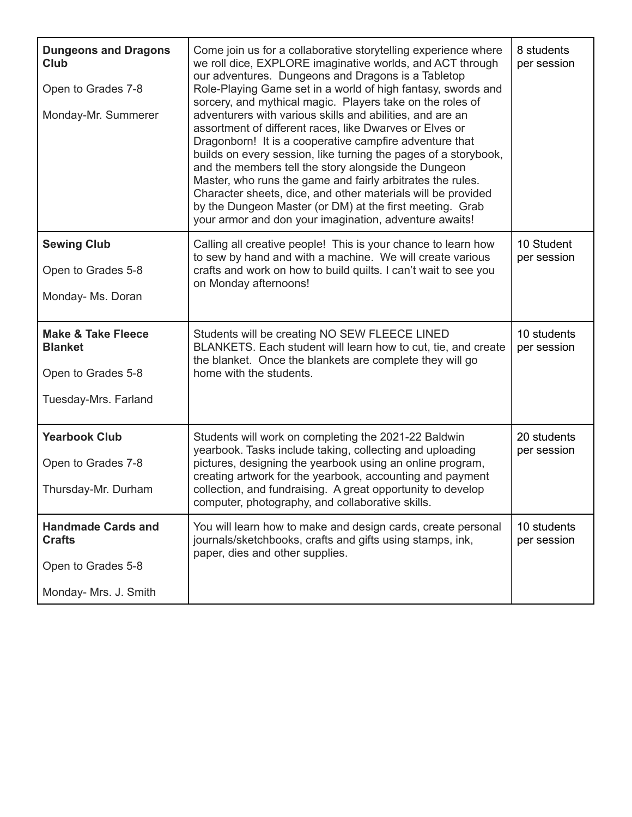| <b>Dungeons and Dragons</b><br>Club<br>Open to Grades 7-8<br>Monday-Mr. Summerer          | Come join us for a collaborative storytelling experience where<br>we roll dice, EXPLORE imaginative worlds, and ACT through<br>our adventures. Dungeons and Dragons is a Tabletop<br>Role-Playing Game set in a world of high fantasy, swords and<br>sorcery, and mythical magic. Players take on the roles of<br>adventurers with various skills and abilities, and are an<br>assortment of different races, like Dwarves or Elves or<br>Dragonborn! It is a cooperative campfire adventure that<br>builds on every session, like turning the pages of a storybook,<br>and the members tell the story alongside the Dungeon<br>Master, who runs the game and fairly arbitrates the rules.<br>Character sheets, dice, and other materials will be provided<br>by the Dungeon Master (or DM) at the first meeting. Grab<br>your armor and don your imagination, adventure awaits! | 8 students<br>per session  |
|-------------------------------------------------------------------------------------------|----------------------------------------------------------------------------------------------------------------------------------------------------------------------------------------------------------------------------------------------------------------------------------------------------------------------------------------------------------------------------------------------------------------------------------------------------------------------------------------------------------------------------------------------------------------------------------------------------------------------------------------------------------------------------------------------------------------------------------------------------------------------------------------------------------------------------------------------------------------------------------|----------------------------|
| <b>Sewing Club</b><br>Open to Grades 5-8<br>Monday- Ms. Doran                             | Calling all creative people! This is your chance to learn how<br>to sew by hand and with a machine. We will create various<br>crafts and work on how to build quilts. I can't wait to see you<br>on Monday afternoons!                                                                                                                                                                                                                                                                                                                                                                                                                                                                                                                                                                                                                                                           | 10 Student<br>per session  |
|                                                                                           |                                                                                                                                                                                                                                                                                                                                                                                                                                                                                                                                                                                                                                                                                                                                                                                                                                                                                  |                            |
| <b>Make &amp; Take Fleece</b><br><b>Blanket</b><br>Open to Grades 5-8                     | Students will be creating NO SEW FLEECE LINED<br>BLANKETS. Each student will learn how to cut, tie, and create<br>the blanket. Once the blankets are complete they will go<br>home with the students.                                                                                                                                                                                                                                                                                                                                                                                                                                                                                                                                                                                                                                                                            | 10 students<br>per session |
| Tuesday-Mrs. Farland                                                                      |                                                                                                                                                                                                                                                                                                                                                                                                                                                                                                                                                                                                                                                                                                                                                                                                                                                                                  |                            |
| <b>Yearbook Club</b><br>Open to Grades 7-8<br>Thursday-Mr. Durham                         | Students will work on completing the 2021-22 Baldwin<br>yearbook. Tasks include taking, collecting and uploading<br>pictures, designing the yearbook using an online program,<br>creating artwork for the yearbook, accounting and payment<br>collection, and fundraising. A great opportunity to develop<br>computer, photography, and collaborative skills.                                                                                                                                                                                                                                                                                                                                                                                                                                                                                                                    | 20 students<br>per session |
| <b>Handmade Cards and</b><br><b>Crafts</b><br>Open to Grades 5-8<br>Monday- Mrs. J. Smith | You will learn how to make and design cards, create personal<br>journals/sketchbooks, crafts and gifts using stamps, ink,<br>paper, dies and other supplies.                                                                                                                                                                                                                                                                                                                                                                                                                                                                                                                                                                                                                                                                                                                     | 10 students<br>per session |